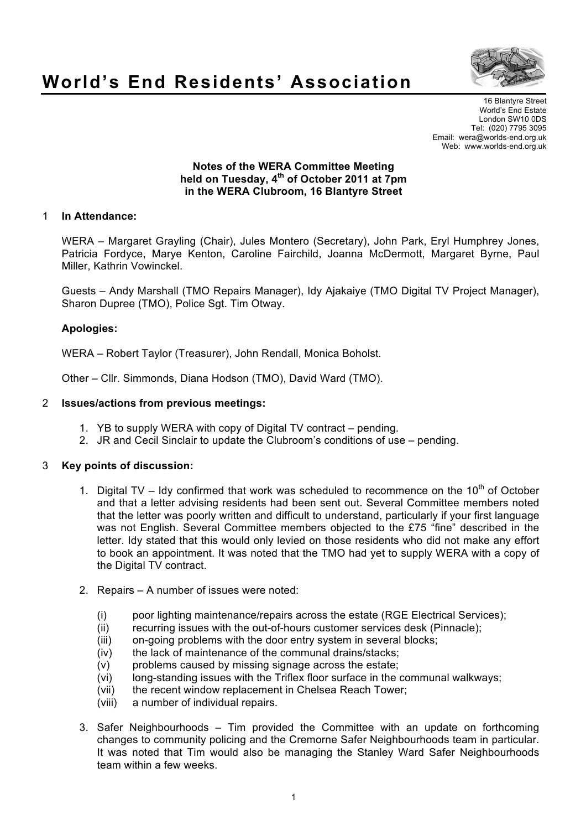

# **World's End Residents' Association**

16 Blantyre Street World's End Estate London SW10 0DS Tel: (020) 7795 3095 Email: wera@worlds-end.org.uk Web: www.worlds-end.org.uk

### **Notes of the WERA Committee Meeting held on Tuesday, 4th of October 2011 at 7pm in the WERA Clubroom, 16 Blantyre Street**

## 1 **In Attendance:**

WERA – Margaret Grayling (Chair), Jules Montero (Secretary), John Park, Eryl Humphrey Jones, Patricia Fordyce, Marye Kenton, Caroline Fairchild, Joanna McDermott, Margaret Byrne, Paul Miller, Kathrin Vowinckel.

Guests – Andy Marshall (TMO Repairs Manager), Idy Ajakaiye (TMO Digital TV Project Manager), Sharon Dupree (TMO), Police Sgt. Tim Otway.

#### **Apologies:**

WERA – Robert Taylor (Treasurer), John Rendall, Monica Boholst.

Other – Cllr. Simmonds, Diana Hodson (TMO), David Ward (TMO).

#### 2 **Issues/actions from previous meetings:**

- 1. YB to supply WERA with copy of Digital TV contract pending.
- 2. JR and Cecil Sinclair to update the Clubroom's conditions of use pending.

#### 3 **Key points of discussion:**

- 1. Digital TV Idy confirmed that work was scheduled to recommence on the  $10^{th}$  of October and that a letter advising residents had been sent out. Several Committee members noted that the letter was poorly written and difficult to understand, particularly if your first language was not English. Several Committee members objected to the £75 "fine" described in the letter. Idy stated that this would only levied on those residents who did not make any effort to book an appointment. It was noted that the TMO had yet to supply WERA with a copy of the Digital TV contract.
- 2. Repairs A number of issues were noted:
	- (i) poor lighting maintenance/repairs across the estate (RGE Electrical Services);
	- (ii) recurring issues with the out-of-hours customer services desk (Pinnacle);
	- (iii) on-going problems with the door entry system in several blocks;
	- (iv) the lack of maintenance of the communal drains/stacks;
	- (v) problems caused by missing signage across the estate;
	- (vi) long-standing issues with the Triflex floor surface in the communal walkways;
	- (vii) the recent window replacement in Chelsea Reach Tower;
	- (viii) a number of individual repairs.
- 3. Safer Neighbourhoods Tim provided the Committee with an update on forthcoming changes to community policing and the Cremorne Safer Neighbourhoods team in particular. It was noted that Tim would also be managing the Stanley Ward Safer Neighbourhoods team within a few weeks.